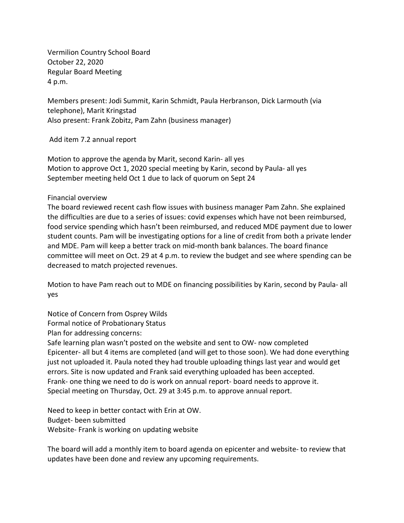Vermilion Country School Board October 22, 2020 Regular Board Meeting 4 p.m.

Members present: Jodi Summit, Karin Schmidt, Paula Herbranson, Dick Larmouth (via telephone), Marit Kringstad Also present: Frank Zobitz, Pam Zahn (business manager)

Add item 7.2 annual report

Motion to approve the agenda by Marit, second Karin- all yes Motion to approve Oct 1, 2020 special meeting by Karin, second by Paula- all yes September meeting held Oct 1 due to lack of quorum on Sept 24

Financial overview

The board reviewed recent cash flow issues with business manager Pam Zahn. She explained the difficulties are due to a series of issues: covid expenses which have not been reimbursed, food service spending which hasn't been reimbursed, and reduced MDE payment due to lower student counts. Pam will be investigating options for a line of credit from both a private lender and MDE. Pam will keep a better track on mid-month bank balances. The board finance committee will meet on Oct. 29 at 4 p.m. to review the budget and see where spending can be decreased to match projected revenues.

Motion to have Pam reach out to MDE on financing possibilities by Karin, second by Paula- all yes

Notice of Concern from Osprey Wilds

Formal notice of Probationary Status

Plan for addressing concerns:

Safe learning plan wasn't posted on the website and sent to OW- now completed Epicenter- all but 4 items are completed (and will get to those soon). We had done everything just not uploaded it. Paula noted they had trouble uploading things last year and would get errors. Site is now updated and Frank said everything uploaded has been accepted. Frank- one thing we need to do is work on annual report- board needs to approve it. Special meeting on Thursday, Oct. 29 at 3:45 p.m. to approve annual report.

Need to keep in better contact with Erin at OW. Budget- been submitted Website- Frank is working on updating website

The board will add a monthly item to board agenda on epicenter and website- to review that updates have been done and review any upcoming requirements.